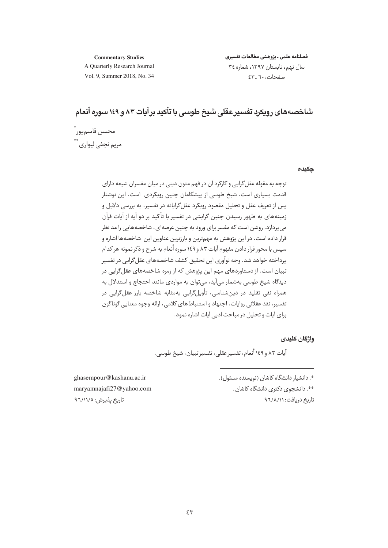#### **Commentary Studies**

فصلنامه علمى ـ يژوهشى مطالعات تفسيرى سال نهم، تابستان ١٣٩٧، شماره ٣٤  $55 - 7.5$ 

A Quarterly Research Journal Vol. 9, Summer 2018, No. 34

# شاخصههای رویکرد تفسیر عقلی شیخ طوسی با تأکید برآیات ۸۳ و ۱٤۹ سوره أنعام

محسن قاسمپور ٌ مریم نجفی لیواری \*\*

حكىده

توجه به مقوله عقل گرایی و کارکرد آن در فهم متون دینی در میان مفسران شیعه دارای .<br>قدمت بسیاری است. شیخ طوسی از پیشگامان چنین رویکردی است. این نوشتار پس از تعریف عقل و تحلیل مقصود رویکرد عقل۶گرایانه در تفسیر، به بررسی دلایل و زمینههای به ظهور رسیدن چنین گرایشی در تفسیر با تأکید بر دو آیه از آیات قرآن می پردازد. روشن است که مفسر برای ورود به چنین عرصهای، شاخصههایی را مد نظر قرار داده است. در این پژوهش به مهم ترین و بارزترین عناوین این شاخصهها اشاره و سپس با محور قرار دادن مفهوم آیات ۸۳ و ۱٤۹ سوره أنعام به شرح و ذکر نمونه هر کدام برداخته خواهد شد. وحه نوآوري ابن تحقيق كشف شاخصههاي عقل گرايي در تفسير .<br>تبیان است. از دستاوردهای مهم این یژوهش که از زمره شاخصههای عقل *گ*رایی در دیدگاه شیخ طوسی بهشمار می آید، می توان به مواردی مانند احتجاج و استدلال به همراه نفی تقلید در دینشناسی، تأویلگرایی بهمثابه شاخصه بارز عقلگرایی در تفسیر، نقد عقلانی روایات، اجتهاد و استنباط های کلامی، ارائه وجوه معنایی گوناگون برای آیات و تحلیل در مباحث ادبی آیات اشاره نمود.

واژگان کلیدی

آيات ٨٣ و ١٤٩ أنعام، تفسير عقلي، تفسير تبيان، شيخ طوسي.

\*. دانشیار دانشگاه کاشان (نویسنده مسئول). \*\*. دانشجوی دکتری دانشگاه کاشان.

تاریخ دریافت: ۹٦/٨/١١

ghasempour@kashanu.ac.ir maryamnajafi27@yahoo.com تاریخ پذیرش: ۹٦/۱۱/٥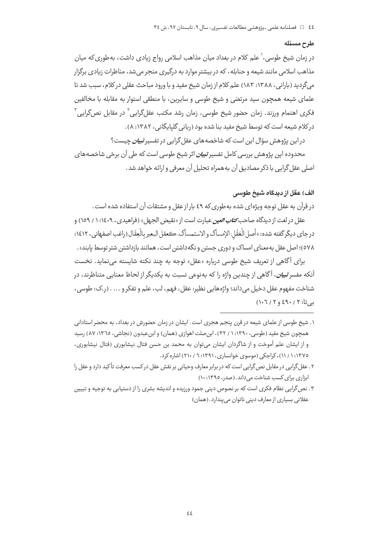#### طرح مسئله

در زمان شیخ طوسی، ٰ علم کلام در بغداد میان مذاهب اسلامی رواج زیادی داشت، به طوری که میان مذاهب اسلامی مانند شیعه و حنابله، که در بیشتر موارد به درگیری منجر می شد، مناظرات زیادی برگزار می گردید (بارانی، ۱۳۸۸: ۱۸۳) علم کلام از زمان شیخ مفید و با ورود مباحث عقلی در کلام، سبب شد تا علمای شیعه همچون سید مرتضی و شیخ طوسی و سایرین، با منطقی استوار به مقابله با مخالفین فكرى اهتمام ورزند. زمان حضور شيخ طوسى، زمان رشد مكتب عقلگرايي<sup>٬</sup> در مقابل نصگرايي<sup>۳</sup> در کلام شیعه است که توسط شیخ مفید بنا شده بود (ربانی گلیایگانی، ۱۳۸۲: ۸).

در این پژوهش سؤال این است که شاخصههای عقل گرایی در تفسیر *تبیان* چیست؟

محدودہ این پژوهش بررسی کامل تفسیر *تبیان* اثر شیخ طوسی است که طی آن برخی شاخصههای اصلے , عقل گرایے , یا ذکر مصادیق آن به همراه تحلیل آن معرفی و ارائه خواهد شد .

### الف) عقل از دیدگاه شیخ طوسی

در قرآن به عقل توجه ویژهای شده به طوری که ٤٩ بار از عقل و مشتقات آن استفاده شده است .

عقل در لغت از دیدگاه صاحب *کتاب العین* عبارت است از «نقیض الجهل» (فراهیدی، ۱:۱٤٠٩ / ۱٥٩) و در جاي ديگر گفته شده: «أصل الْعَقْل: الإمساك و الاستمساك، كعقل البعير بالْعِقَال (راغب اصفهاني، ١٤١٢: ٥٧٨)؛ اصل عقل بهمعنای امساک و دوری جستن و نگهداشتن است، همانند بازداشتن شتر توسط پابند» .

برای آگاهی از تعریف شیخ طوسی درباره «عقل» توجه به چند نکته شایسته می نماید. نخست آنکه مفسر *تبیان*، آگاهی از چندین واژه را که بهنوعی نسبت به یکدیگر از لحاظ معنایی متناظرند، در شناخت مفهوم عقل دخيل مي داند؛ واژههايي نظير: عقل، فهم، لب، علم و تفكر و ... . (ر.ک: طوسي، بې تا: ۶۹۰/ ۶۹۰ و ۱۰٦/٢)

- ۱. شیخ طوسی از علمای شیعه در قرن پنجم هجری است. ایشان در زمان حضورش در بغداد، به محضر استادانی همچون شیخ مفید (طوسی، ۱:۱۳۹۰ / ۳۲)، ابن صلت اهوازی (همان) و ابن عبدون (نجاشی، ۱۳٦٥: ۸۷) رسید و از ایشان علم آموخت و از شاگردان ایشان میتوان به محمد بن حسن فتال نیشابوری (فتال نیشابوری، ۱۳۷۵: ۱/ ۱۱)، کراچکی (موسوی خوانساری، ۱۳۹۱: ۱. ۲۱۰) اشاره کرد.
- ۲ . عقل گرايي در مقابل نص گرايي است كه در برابر معارف وحياني بر نقش عقل در كسب معرفت تأكيد دارد و عقل را ابزاری برای کسب شناخت می داند. (صدر، ۱۳۹۵: ۱۰)
- ۳. نص گرایی نظام فکری است که بر نصوص دینی جمود ورزیده و اندیشه بشری را از دستیابی به توجیه و تبیین عقلانی بسیاری از معارف دینی ناتوان می پندارد. (همان)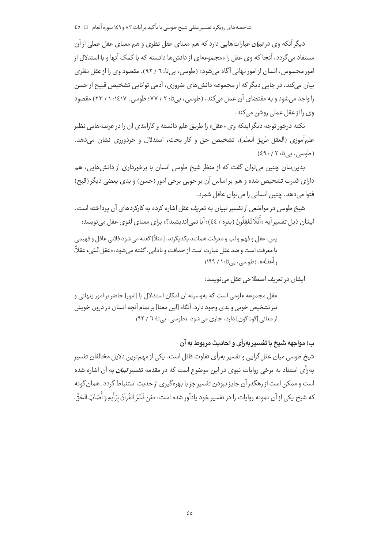شاخصههای رویکرد تفسیر عقلی شیخ طوسی با تأکید برآیات ۸۳ و ۱٤۹ سوره أنعام □ ٤٥

دیگر آنکه وی در *تبیان ع*باراتهایی دارد که هم معنای عقل نظری و هم معنای عقل عملی از آن مستفاد می گردد، آنجا که وی عقل را «مجموعهای از دانش ها دانسته که با کمک آنها و با استدلال از امور محسوس ، انسان از امور نـهاني آگاه مے شود» (طوسے ، بے تا: ٦ / ٩٢) . مقصود وي را از عقل نظري بیان میکند. در جایی دیگر که از مجموعه دانش های ضروری، آدمی توانایی تشخیص قبیح از حسن را واجد می شود و به مقتضای آن عمل می کند، (طوسی، بی تا: ۲ / ۷۷؛ طوسی، ۱٤١٧: ۱ / ۲۳) مقصود وی را از عقل عملی روشن می کند.

نکته درخور توجه دیگر اینکه وی «عقل» را طریق علم دانسته و کارآمدی آن را در عرصههایی نظیر علمآموزي (العقل طريق العلم)، تشخيص حق و كار بحث، استدلال و خردورزي نشان مي دهد. (طوسی، بے تا: ٤٩٠/٢)

بدین سان چنین می توان گفت که از منظر شیخ طوسی انسان با برخورداری از دانش هایی، هم دارای قدرت تشخیص شده و هم بر اساس آن بر خوبی برخی امور (حسن) و بدی بعضی دیگر (قبح) فتوا مي دهد. چنين انساني را مي توان عاقل شمرد.

شیخ طوسی در مواضعی از تفسیر تبیان به تعریف عقل اشاره کرده به کارکردهای آن پرداخته است. ايشان ذيل تفسير آيه «أَفَلَا تَعْقِلُونَ (بقره / ٤٤): آيا نمي انديشيد؟» براي معناي لغوي عقل مي نويسد:

يس، عقل و فهم و لب و معرفت همانند يكديگرند. [مثلاً] گفته مي شود فلاني عاقل و فهيمي با معرفت است و ضد عقل عبارت است از حماقت و ناداني. گفته مي شود: «عقل الشيء عقلاً، و أعقله». (طوسي، بي تا: ١ / ١٩٩)

ایشان در تعریف اصطلاحی عقل می نویسد:

عقل مجموعه علومی است که بهوسیله آن امکان استدلال با [امور] حاضر بر امور پنهانی و نیز تشخیص خوبی و بدی وجود دارد. آنگاه [این معنا] بر تمام آنچه انسان در درون خویش از معانی [گوناگون] دارد، جاری می شود. (طوسی، بی تا: ٦ / ٩٢)

ب) مواجهه شيخ با تفسير بهرأي و احاديث مربوط به آن

شیخ طوسی میان عقل گرایی و تفسیر به رأی تفاوت قائل است . یکی از مهم ترین دلایل مخالفان تفسیر بهرأي استناد به برخي روايات نبوي در اين موضوع است كه در مقدمه تفسير *تبيان ب*ه آن اشاره شده است و ممکن است از رهگذر آن جایز نبودن تفسیر جز با بهرهگیری از حدیث استنباط گردد. همان گونه كه شيخ يكي از آن نمونه روايات را در تفسير خود يادآور شده است: «مَن فَسَّرَ الْقُرآنَ بِرَأْيِهِ وَ أَصَابَ الحَقّ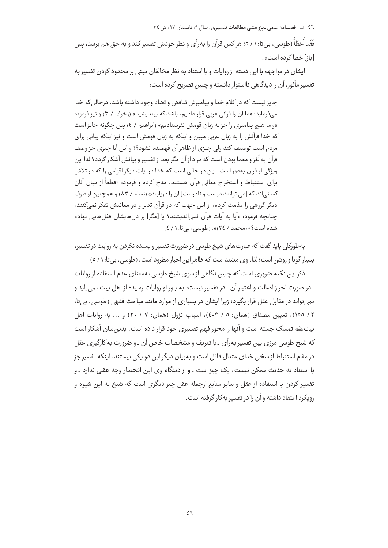فَقَد أَخطَأَ (طوسی، بی تا: ۱ / ٥؛ هر کس قرآن را بهرأی و نظر خودش تفسیر کند و به حق هم برسد، پس [باز] خطا كرده است».

ایشان در مواجهه با این دسته از روایات و با استناد به نظر مخالفان مبنی بر محدود کردن تفسیر به تفسیر مأثور، آن را دیدگاهی نااستوار دانسته و چنین تصریح کرده است:

جایز نیست که در کلام خدا و پیامبرش تناقض و تضاد وجود داشته باشد. درحالی که خدا میفرماید: «ما آن را قرآنی عربی قرار دادیم، باشد که بیندیشید» (زخرف / ۳) و نیز فرمود: «و ما هيچ پيامبري را جز به زبان قومش نفرستاديم» (ابراهيم / ٤) پس چگونه جايز است که خدا قرآنش را به زبان عربی مبین و اینکه به زبان قومش است و نیز اینکه بیانی برای مردم است توصیف کند ولی چیزی از ظاهر آن فهمیده نشود؟! و این آیا چیزی جز وصف قرآن به لُغز و معما بودن است که مراد از آن مگر بعد از تفسیر و بیانش آشکار گردد؟ لذا این ویژگی از قرآن بهدور است. این در حالی است که خدا در آیات دیگر اقوامی را که در تلاش براي استنباط و استخراج معاني قرآن هستند، مدح کرده و فرمود: «قطعاً از مبان آنان کسانی اند که [می توانند درست و نادرست] آن را دریابند» (نساء / ۸۳) و همچنین از طرف دیگر گروهی را مذمت کرده، از این جهت که در قرآن تدبر و در معانیش تفکر نمیکنند، چنانچه فرمود: «اَيا به اَيات قرآن نمي|نديشند؟ يا [مگر] بر دل هايشان قفل هايي نهاده شده است؟» (محمد / ٢٤)». (طوسی، بی تا: ١ / ٤)

به طورکلی باید گفت که عبارتهای شیخ طوسی در ضرورت تفسیر و بسنده نکردن به روایت در تفسیر، بسیار گویا و روشن است؛ لذا، وی معتقد است که ظاهر این اخبار مطرود است . (طوسی، بی تا: ۱ / ٥)

ذکر این نکته ضروری است که چنین نگاهی از سوی شیخ طوسی بهمعنای عدم استفاده از روایات ۔در صورت احراز اصالت و اعتبار آن ۔در تفسیر نیست؛ به باور او روایات رسیده از اهل بیت نمی باید و نمی تواند در مقابل عقل قرار بگیرد؛ زیرا ایشان در بسیاری از موارد مانند مباحث فقهی (طوسی، بی تا: ٢ / ١٥٥)، تعيين مصداق (همان: ٥ / ٤٠٣)، اسباب نزول (همان: ٧ / ٣٠) و ... به روايات اهل بیتﷺ تمسک جسته است و آنها را محور فهم تفسیری خود قرار داده است. بدین سان آشکار است که شیخ طوسی مرزی بین تفسیر به٫اًی ـ با تعریف و مشخصات خاص آن ـ و ضرورت به کارگیری عقل در مقام استنباط از سخن خدای متعال قائل است و به بیان دیگر این دو یکی نیستند. اینکه تفسیر جز یا استناد به حدیث ممکن نیست، یک چیز است ـ و از دیدگاه وی این انحصار وجه عقلی ندارد ـ و تفسیر کردن با استفاده از عقل و سایر منابع ازجمله عقل چیز دیگری است که شیخ به این شیوه و رویکرد اعتقاد داشته و آن را در تفسیر بهکار گرفته است .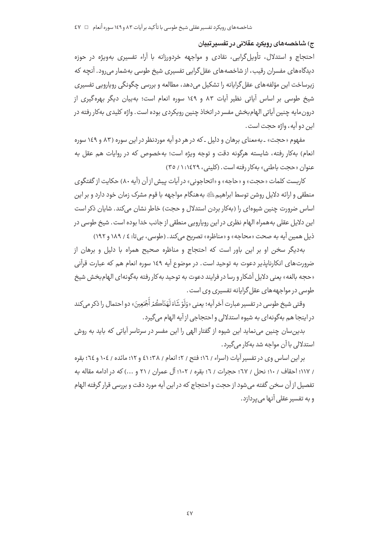### ج) شاخصەھاي رويكرد عقلانى در تفسيرتبيان

احتجاج و استدلال، تأويل گرايي، نقادي و مواجهه خردورزانه با آراء تفسيري بهويژه در حوزه دیدگاههای مفسران رقیب، از شاخصههای عقل گرایی تفسیری شیخ طوسی بهشمار می رود. آنچه که زیرساخت این مؤلفه های عقل گرایانه را تشکیل می دهد، مطالعه و بررسی چگونگی روپاروپی تفسیری شیخ طوسی بر اساس آیاتی نظیر آیات ۸۳ و ۱٤۹ سوره انعام است؛ بهبیان دیگر بهرهگیری از درون مايه چنين آياتي الهام بخش مفسر در اتخاذ چنين رويكردي بوده است. واژه كليدي بهكار رفته در اين دو آيه، واژه حجت است.

مفهوم «حجت» ۔ په معنای پرهان و دلیل ۔ که در هر دو آپه موردنظر در این سوره (۸۳ و ۱٤۹ سوره انعام) بهکار رفته، شایسته هرگونه دقت و توجه ویژه است؛ بهخصوص که در روایات هم عقل به عنوان «حجت باطني» بهكار رفته است. (كليني، ١٤٢٩: ١/ ٣٥)

كاربست كلمات «حجت» و «حاجه» و «اتحاجوني» در آيات پيش از آن (آيه ٨٠) حكايت از گفتگوي منطقی و ارائه دلایل روشن توسط ابراهیمﷺ بههنگام مواجهه با قوم مشرک زمان خود دارد و بر این اساس ضرورت چنین شیوهای را (بهکار بردن استدلال و حجت) خاطر نشان میکند. شایان ذکر است این دلایل عقلی به همراه الهام نظری در این روپارویی منطقی از جانب خدا بوده است. شیخ طوسی در ذيل همين آيه به صحت «محاجه» و «مناظره» تصريح مي كند. (طوسى، بي تا: ٤ / ١٨٩ و ١٩٢)

بهدیگر سخن او بر این باور است که احتجاج و مناظره صحیح همراه با دلیل و برهان از ضرورتهای انکارنایذیر دعوت به توحید است. در موضوع آیه ١٤٩ سوره انعام هم که عبارت قرآنی «حجه بالغه» یعنی دلایل آشکار و رسا در فرایند دعوت به توحید به کار رفته بهگونهای الهام بخش شیخ طوسی در مواجهه های عقل گرایانه تفسیری وی است.

وقتي شيخ طوسي در تفسير عبارت آخر آيه؛ يعني «وَلَوْ شَاءَ لَهَدَاكُمْ أَجْمَعِينَ» دو احتمال را ذكر م ,كند در اینجا هم بهگونهای به شیوه استدلالی واحتجاجی از آیه الهام می گیرد.

بدین سان چنین می نماید این شیوه از گفتار الهی را این مفسر در سرتاسر آیاتی که باید به روش استدلالی با آن مواجه شد بهکار می گیرد.

براین اساس وی در تفسیر آیات (اسراء / ١٦؛ فتح / ٢؛ انعام / ٣٨؛ ٤١ و ١٢؛ مائده / ١٠٤ و ٢٤؛ بقره / ١١٧؛ احقاف / ١٠؛ نحل / ٦٧؛ حجرات / ٦؛ بقره / ١٠٢؛ آل عمران / ٢١ و ...) كه در ادامه مقاله به تفصيل از آن سخن گفته مي شود از حجت و احتجاج كه در اين آيه مورد دقت و بررسي قرار گرفته الهام و به تفسیر عقلی آنها می پردازد.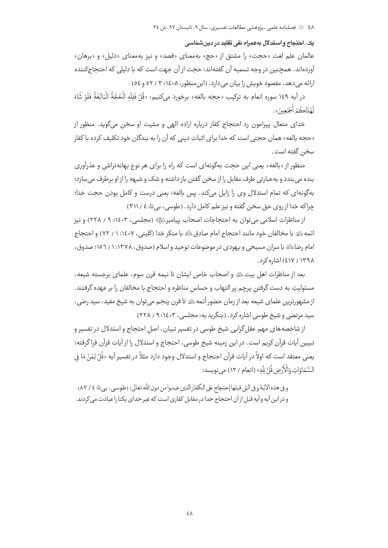٤٨ = فصلنامه علمي ـيژوهشي مطالعات تفسيري، سال ٩، تابستان ٩٧، ش ٣٤

### یک. ا**حتجاج و استدلال بههمراه نفی تقلید در دین شناسی**

عالمان علم لغت «حجت» را مشتق از «حج» بهمعنای «قصد» و نیز بهمعنای «دلیل» و «برهان» آوردهاند. همچنین در وجه تسمیه آن گفتهاند: حجت از آن جهت است که با دلیلی که احتجاجکننده ارائه می دهد، مقصود خویش را بیان می دارد. (ابن منظور، ۱٤٠٨: ۳ / ٥٢ و ٥٤)

در آيه ١٤٩ سوره انعام به تركيب «حجه بالغه» برخورد مىكنيم: «قُلْ فَلِلَّهِ الْحُجَّةُ الْبَالِغَةُ فَلَوْ شَاءَ لَهَدَاكُمْ أَجْمَعِينَ».

خدای متعال پیرامون رد احتجاج کفار درباره اراده الهی و مشیت او سخن میگوید. منظور از «حجه بالغه» همان حجتی است که خدا برای اثبات دینی که آن را به بندگان خود تکلیف کرده با کفار سخن گفته است.

منظور از «بالغه» یعنی این حجت بهگونهای است که راه را برای هر نوع بهانهتراشی و عذرآوری بنده می بندد و بهعبارتی طرف مقابل را از سخن گفتن باز داشته و شک و شبهه را از او برطرف میسازد؛ بهگونهای که تمام استدلال وی را زایل میکند. پس بالغه؛ یعنی درست و کامل بودن حجت خدا؛ چراکه خدا از روی حق سخن گفته و نیز علم کامل دارد. (طوسی، بیتا: ٤ / ٣١١)

از مناظرات اسلامي مي توان به احتجاجات اصحاب پيامبرﷺ (مجلسي، ١٤٠٣، ٩ / ٢٢٨) و نيز ائمه ﷺ با مخالفان خود مانند احتجاج امام صادقﷺ با منكر خدا (كليني، ١٤٠٧: ١ / ٧٢) و احتجاج امام رضاﷺ با سران مسیحی و پیهودی در موضوعات توحید و اسلام (صدوق، ۱۳۷۸: ۱ / ۱۰۱۳ صدوق، ۱۳۹۸ / ٤١٧) اشاره کرد.

بعد از مناظرات اهل بيتﷺ و اصحاب خاص ايشان تا نيمه قرن سوم، علماي برجسته شيعه، مسئوليتِ به دست گرفتن يرچم ير التهاب و حساس مناظره و احتجاج با مخالفان را بر عهده گرفتند. از مشهورترین علمای شیعه بعد از زمان حضور أئمه ﷺ تا قرن پنجم می توان به شیخ مفید، سید رضی، سید مرتضی و شیخ طوسی اشاره کرد. (بنگرید به: مجلسی، ۴۰۶: ۹ / ۲۲۸)

از شاخصه های مهم عقل گرایی شیخ طوسی در تفسیر تبیان، اصل احتجاج و استدلال در تفسیر و تبيين آيات قرآن كريم است. در اين زمينه شيخ طوسي، احتجاج و استدلال را از آيات قرآن فرا گرفته؛ يعني معتقد است كه اولاً در آيات قرآن احتجاج و استدلال وجود دارد مثلاً در تفسير آيه «قُلْ لِمَنْ مَا في السَّمَاوَاتِ وَالْأَرْضِ قُلْ لِلَّهِ» (انعام / ١٢) مي نويسد:

و في هذه الآية و في التي قبلها إحتجاج على الكفار الذين عبدوا من دون اللَّه تعالى؛ (طوسى، بي تا: ٤ / ٨٧) و در این آیه و آیه قبل از آن احتجاج خدا در مقابل کفاری است که غیر خدای یکتا را عبادت می کردند.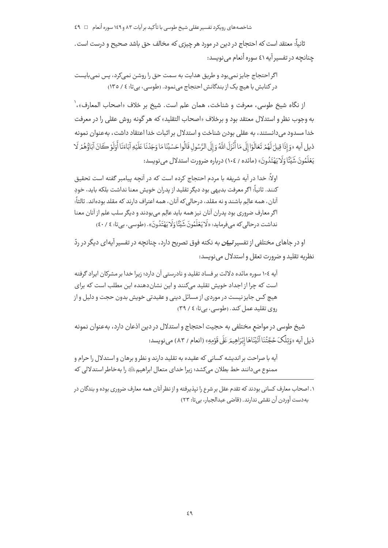### شاخصههای رویکرد تفسیر عقلی شیخ طوسی با تأکید بر آیات ۸۳ و ۱٤۹ سوره أنعام ⊥ے ٤٩

ثانياً: معتقد است كه احتجاج در دين در مورد هر چيزي كه مخالف حق باشد صحيح و درست است. چنانچه در تفسیر آیه ٤١ سوره أنعام می نویسد:

اگر احتجاج جایز نمی بود و طریق هدایت به سمت حق را روشن نمی کرد، پس نمی بایست در کتابش با هیچ یک از بندگانش احتجاج می نمود. (طوسی، بی تا: ٤ / ١٣٥)

از نگاه شيخ طوسي، معرفت و شناخت، همان علم است. شيخ بر خلاف «اصحاب المعارف»،` به وجوب نظر و استدلال معتقد بود و برخلاف «اصحاب التقليد» كه هر گونه روش عقلي را در معرفت خدا مسدود می دانستند، به عقلی بودن شناخت و استدلال بر اثبات خدا اعتقاد داشت، به عنوان نمونه ذيل آيه «وَ إِذَا قِيلَ لَهُمْ تَعَالَوْا إِلَى مَا أَنْزَلَ اللَّهُ وَ إِلَى الرَّسُول قَالُوا حَسْبُنَا مَا وَجَدْنَا عَلَيْهِ آبَاءَنَا أَوَلَوْ كَانَ آبَاؤُهُمْ لَا يَعْلَمُونَ شَيْئًا وَلَا يَهْتَدُونَ» (مائده / ١٠٤) درباره ضوورت استدلال مي نويسد:

اولاً: خدا در آیه شریفه با مردم احتجاج کرده است که در آنچه پیامبر گفته است تحقیق كنند. ثانياً: اگر معرفت بديهي بود ديگر تقليد از يدران خويش معنا نداشت بلكه بايد، خودِ آنان، همه عالِم باشند و نه مقلد، درحالی که آنان، همه اعتراف دارند که مقلد بودهاند. ثالثاً: اگر معارف ضروری بود پدران آنان نیز همه باید عالِم می بودند و دیگر سلب علم از آنان معنا نداشت درحالي كه مي فرمايد: «لَا يَعْلَمُونَ شَيْئًا وَلَا يَهْتَدُونَ». (طوسي، بي تا: ٤٠/ ٤٠)

او در جاهای مختلفی از تفسیر *تبیان ب*ه نکته فوق تصریح دارد، چنانچه در تفسیر آیهای دیگر در ردّ نظريه تقليد و ضرورت تعقل و استدلال مي نويسد:

آیه ۱۰۶ سوره مائده دلالت بر فساد تقلید و نادرستی آن دارد؛ زیرا خدا بر مشرکان ایراد گرفته است که چرا از اجداد خویش تقلید میکنند و این نشاندهنده این مطلب است که برای هیچ کس جایز نیست در موردی از مسائل دینی و عقیدتی خویش بدون حجت و دلیل و از روی تقلید عمل کند. (طوسی، بیتا: ٤ / ٣٩)

شیخ طوسی در مواضع مختلفی به حجیت احتجاج و استدلال در دین اذعان دارد، بهعنوان نمونه ذيل آيه «وَتِلْكَ حُجَّتُنَا آتَيْنَاهَا إِبْرَاهِيمَر عَلَى قَوْمِهِ» (انعام / ٨٣) مي نويسد:

آيه با صراحت بر انديشه كساني كه عقيده به تقليد دارند و نظر و برهان و استدلال را حرام و ممنوع می دانند خط بطلان می کشد؛ زیرا خدای متعال ابراهیم ﷺ را به خاطر استدلالی که

۱. اصحاب معارف کسانی بودند که تقدم عقل بر شرع را نیذبرفته و از نظر آنان همه معارف ضروری بوده و بندگان در به دست آوردن آن نقشی ندارند. (قاضی عبدالحبار، بی تا: ۲۳)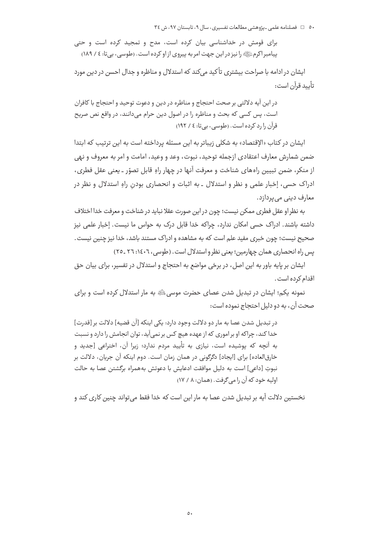برای قومش در خداشناسی بیان کرده است، مدح و تمجید کرده است و حتی پیامبر اکرمﷺ را نیز در این جهت امر به پیروی از او کرده است. (طوسی، بے تا: ٤ / ١٨٩)

ایشان در ادامه با صراحت بیشتری تأکید میکند که استدلال و مناظره و جدال احسن در دین مورد تأىيد قرآن است:

در اين آيه دلالتي بر صحت احتجاج و مناظره در دين و دعوت توحيد و احتجاج با كافران است، پس کسی که بحث و مناظره را در اصول دین حرام میدانند، در واقع نص صریح قرآن را رد کرده است. (طوسی، پی تا: ٤ / ١٩٢)

ایشان در کتاب «الإقتصاد» به شکلی زیباتر به این مسئله پرداخته است به این ترتیب که ابتدا ضمن شمارش معارف اعتقادي ازجمله توحيد، نبوت، وعد و وعيد، امامت و امر به معروف و نهي از منكر، ضمن تبيين راههاي شناخت و معرفت آنها در چهار راهِ قابل تصوّر ـ يعني عقل فطرى، ادراک حسی، اِخبار علمی و نظر و استدلال ـ به اثبات و انحصاری بودن راه استدلال و نظر در معارف دینے مے پردازد.

به نظر او عقل فطري ممكن نيست؛ چون در اين صورت عقلا نبايد در شناخت و معرفت خدا اختلاف داشته باشند. ادراک حسی امکان ندارد، چراکه خدا قابل درک به حواس ما نیست. اِخبار علمی نیز صحيح نيست؛ چون خبري مفيد علم است كه به مشاهده و ادراك مستند باشد، خدا نيز چنين نيست. پس راه انحصاری همان چهارمین؛ یعنی نظر و استدلال است. (طوسی، ۲۰۱۶۰۲ ـ ۲۵)

ایشان بر پایه باور به این اصل، در برخی مواضع به احتجاج و استدلال در تفسیر، برای بیان حق اقدام کرده است .

نمونه یکم؛ ایشان در تبدیل شدن عصای حضرت موسی الله به مار استدلال کرده است و برای صحت آن، به دو دلیل احتجاج نموده است:

در تبدیل شدن عصا به مار دو دلالت وجود دارد: یکی اینکه [آن قضیه] دلالت بر [قدرت] خدا کند، چراکه او بر اموری که از عهده هیچ کس بر نمی آید، توان انجامش را دارد و نسبت به آنچه که پوشیده است، نیازی به تأیید مردم ندارد؛ زیرا آن، اختراعی [جدید و خارقالعاده] براي [ايجاد] دگرگوني در همان زمان است. دوم اينكه آن جريان، دلالت بر نبوتِ [داعی] است به دلیل موافقت ادعایش با دعوتش بههمراه برگشتن عصا به حالت اوليه خود كه آن را مي گرفت. (همان: ٨ / ١٧)

نخستین دلالت آیه بر تبدیل شدن عصا به مار این است که خدا فقط می تواند چنین کاری کند و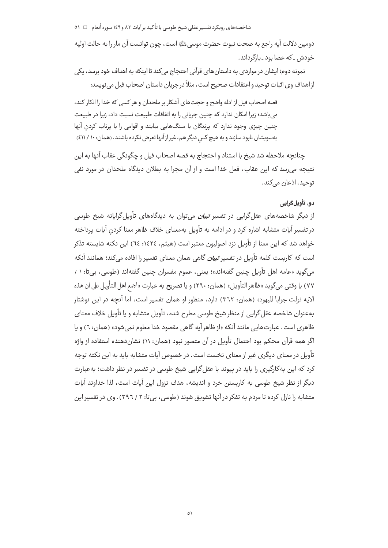شاخصههای رویکرد تفسیر عقلی شیخ طوسی با تأکید برآیات ۸۳ و ۱٤۹ سوره أنعام □ ٥١

دومين دلالت آيه راجع به صحت نبوت حضرت موسى ﷺ است، چون توانست آن مار را به حالت اوليه خودش ۔ که عصا بود ۔ بازگرداند .

نمونه دوم؛ ایشان در مواردی به داستان های قرآنی احتجاج می کند تا اینکه به اهداف خود برسد، یکی از اهداف وي اثبات توحيد و اعتقادات صحيح است، مثلاً در جريان داستان اصحاب فيل مي نويسد:

قصه اصحاب فيل از ادله واضح و حجتهاى آشكار بر ملحدان و هر كسى كه خدا را انكار كند، می باشد؛ زیرا امکان ندارد که چنین جریانی را به اتفاقات طبیعت نسبت داد، زیرا در طبیعت چنین چیزی وجود ندارد که پرندگان با سنگهایی بیایند و اقوامی را با پرتاب کردن آنها بهسویشان نابود سازند و به هیچ کس دیگر هم، غیراز آنها تعرض نکرده باشند. (همان: ١٠/ ٤١١)

چنانچه ملاحظه شد شیخ با استناد و احتجاج به قصه اصحاب فیل و چگونگی عقاب آنها به این نتیجه می٫رسد که این عقاب، فعل خدا است و از آن مجرا به بطلان دیدگاه ملحدان در مورد نفی توحيد، اذعان مي كند.

# دو. تأويل گرايي

از دیگر شاخصههای عقل گرایی در تفسیر *تبیان می***توان به دیدگاههای تأویل گرایانه شیخ** طوسی در تفسیر آیات متشابه اشاره کرد و در ادامه به تأویل بهمعنای خلاف ظاهر معنا کردن آیات پرداخته خواهد شد که این معنا از تأویل نزد اصولیون معتبر است (هیثم، ١٤٢٤: ٦٤) این نکته شایسته تذکر است که کاربست کلمه تأویل در تفسیر *تبیان* گاهی همان معنای تفسیر را افاده می *ک*ند؛ همانند آنکه میگوید «عامه اهل تأویل چنین گفتهاند»؛ یعنی، عموم مفسران چنین گفتهاند (طوسی، بیتا: ۱ / ٧٧) يا وقتي مي گويد «ظاهر التأويل» (همان: ٢٩٠) و يا تصريح به عبارت «اجمع اهل التأويل على ان هذه الايه نزلت جوابا لليهود» (همان: ٣٦٢) دارد، منظور او همان تفسير است، اما آنچه در اين نوشتار بهعنوان شاخصه عقل گرایی از منظر شیخ طوسی مطرح شده، تأویل متشابه و یا تأویل خلاف معنای ظاهري است. عبارت هايي مانند آنكه «از ظاهر آيه گاهي مقصود خدا معلوم نمي شود» (همان: ٦) و يا اگر همه قرآن محکم بود احتمال تأویل در آن متصور نبود (همان: ۱۱) نشان دهنده استفاده از واژه تأویل در معنای دیگری غیر از معنای نخست است. در خصوص آیات متشابه باید به این نکته توجه کرد که این به کارگیری را باید در پیوند با عقل گرایی شیخ طوسی در تفسیر در نظر داشت؛ به عبارت دیگر از نظر شیخ طوسی به کاربستن خرد و اندیشه، هدف نزول این آیات است، لذا خداوند آیات متشابه را نازل کرده تا مردم به تفکر در آنها تشویق شوند (طوسی، بی تا: ۲ / ۳۹٦). وی در تفسیر این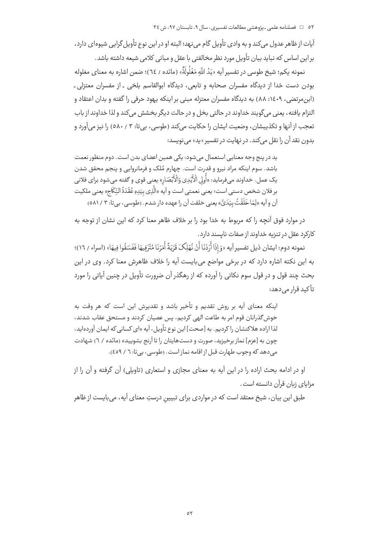آیات از ظاهر عدول می کند و به وادی تأویل گام می نهد؛ البته او در این نوع تأویل گرایی شیوهای دارد، بر این اساس که نباید بیان تأویل مورد نظر مخالفتی با عقل و مبانی کلامی شیعه داشته باشد.

نمونه یکم؛ شیخ طوسی در تفسیر آیه «پَدُ اللَّه مَغْلُولَةٌ» (مائده / ٦٤)؛ ضمن اشاره به معنای مغلوله بودن دست خدا از دیدگاه مفسران صحابه و تابعی، دیدگاه ابوالقاسم بلخی ـ از مفسران معتزلی ـ (ابن مرتضى، ١٤٠٩: ٨٨) به ديدگاه مفسران معتزله مبنى بر اينكه يهود حرفى را گفته و بدان اعتقاد و التزام یافته، یعنی می گویند خداوند در حالتی بخل و در حالت دیگر بخشش می *ک*ند و لذا خداوند از باب تعجب از آنها و تکذيبشان، وضعيت ايشان را حکايت مي کند (طوسي، بي تا: ٣ / ٥٨٠) را نيز مي آورد و بدون نقد آن را نقل می *کند*. در نهایت در تفسیر «پد» می نویسد:

يد در پنج وجه معنايي استعمال مي شود: يكي همين اعضاي بدن است. دوم منظور نعمت باشد. سوم اینکه مراد نیرو و قدرت است. چهارم مُلک و فرمانروایی و پنجم محقق شدن يک عمل. خداوند ميفرمايد: «أُولى الْأَيْدِي وَالْأَبْصَارِ» يعني قوي و گفته ميشود براي فلاني بر فلان شخص دستي است؛ يعني نعمتي است و آيه «الَّذِي بيَدِهِ عُقْدَةُ النِّكَاحِ» يعني ملكيت آن و آيه «لِمَا خَلَقْتُ بِيَدَيَّ» يعني خلقت آن را عهده دار شدم. (طوسي، بي تا: ٣ / ٥٨١)

در موارد فوق آنچه را که مربوط به خدا بود را بر خلاف ظاهر معنا کرد که این نشان از توجه به کارکرد عقل در تنزیه خداوند از صفات نایسند دارد.

نمونه دوم: ايشان ذيل تفسير آيه «وَإِذَا أَرَدْنَا أَنْ نُهْلِكَ قَرْيَةً أَمَرْنَا مُتْرَفِيهَا فَفَسَقُوا فِيهَا» (اسراء / ١٦)؛ به این نکته اشاره دارد که در برخی مواضع می بایست آیه را خلاف ظاهرش معنا کرد. وی در این بحث چند قول و در قول سوم نکاتی را آورده که از رهگذر آن ضرورت تأویل در چنین آیاتی را مورد تأكيد قرار مے ردهد:

اینکه معنای آیه بر روش تقدیم و تأخیر باشد و تقدیرش این است که هر وقت به خوش گذرانان قوم امر به طاعت الهی کردیم، پس عصیان کردند و مستحق عقاب شدند، لذا اراده هلاكتشان را كرديم. به [صحت] اين نوع تأويل، آيه «اي كساني كه ايمان آوردهايد، چون به [عزم] نماز برخیزید، صورت و دستهایتان را تا آرنج بشویید» (مائده / ٦) شهادت می دهد که وجوب طهارت قبل از اقامه نماز است. (طوسی، بی تا: ٦ / ٤٥٩).

او در ادامه بحث اراده را در این آیه به معنای مجازی و استعاری (تاویلی) آن گرفته و آن را از مزاياي زبان قرآن دانسته است .

طبق این بیان، شیخ معتقد است که در مواردی برای تبیین درستِ معنای آیه، می بایست از ظاهر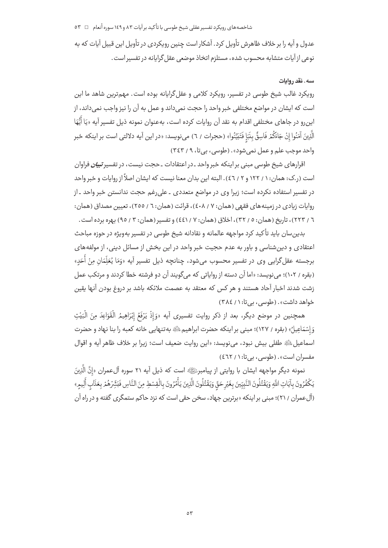شاخصههای رویکرد تفسیر عقلی شیخ طوسی با تأکید بر آیات ۸۳ و ۱٤۹ سوره أنعام  $\Box$  ۵۳

.<br>عدول و آیه را بر خلاف ظاهرش تأویل کرد. آشکار است چنین رویکردی در تأویل این قبیل آیات که به نوعي از آيات متشابه محسوب شده، مستلزم اتخاذ موضعي عقل گرايانه در تفسير است.

# سه. نقد روایات

رویکرد غالب شیخ طوسی در تفسیر، رویکرد کلامی و عقل گرایانه بوده است. مهمترین شاهد ما این است كه ايشان در مواضع مختلفى خبر واحد را حجت نمى داند و عمل به آن را نيز واجب نمى داند، از اين,رو در جاهاي مختلفي اقدام به نقد آن روايات كرده است، بهعنوان نمونه ذيل تفسير آيه «يَا أَيُّهَا ۖ الَّذِينَ آمَنُوا إِنْ جَاءَكُمْ فَاسِقٌ بِنَبَإِ فَتَبَيَّنُوا» (حجرات / ٦) مىنويسد: «در اين آيه دلالتى است بر اينكه خبر واحد موجب علم و عمل نمي شود». (طوسي، بي تا، ٩ / ٣٤٣)

اقرارهای شیخ طوسی مبنی بر اینکه خبر واحد ـ در اعتقادات ـ حجت نیست، در تفسیر *تبیان* فراوان است (ر.ک: همان: ۱ / ۱۲۲ و ۲ / ٤٦). البته این بدان معنا نیست که ایشان اصلاً از روایات و خبر واحد در تفسیر استفاده نکرده است؛ زیرا وی در مواضع متعددی ـ علی رغم حجت ندانستن خبر واحد ـ از روايات زيادي در زمينه هاي فقهي (همان: ٧ / ٤٠٨)، قرائت (همان: ٦ / ٢٥٥)، تعيين مصداق (همان: ٦ / ٢٢٣)، تاريخ (همان: ٥ / ٣٢)، اخلاق (همان: ٧ / ٤٤١) و تفسير (همان: ٣ / ٩٥) بهره برده است.

بدین سان باید تأکید کرد مواجهه عالمانه و نقادانه شیخ طوسی در تفسیر بهویژه در حوزه مباحث اعتقادی و دین شناسی و باور به عدم حجیت خبر واحد در این بخش از مسائل دینی، از مولفههای برجسته عقل گرايي وي در تفسير محسوب مي شود، چنانچه ذيل تفسير آيه «وَمَا يُعَلِّمَان مِنْ أُحَدِ» (بقره / ١٠٢)؛ می نویسد: «اما آن دسته از روایاتی که می¢ویند آن دو فرشته خطا کردند و مرتکب عمل زشت شدند اخبار آحاد هستند و هر کس که معتقد به عصمت ملائکه باشد بر دروغ بودن آنها یقین خواهد داشت». (طوسی، بیتا: ۱ / ۳۸٤)

همچنین در موضع دیگر، بعد از ذکر روایت تفسیری آیه «وَإِذْ يَرْفَعُ إِبْرَاهِيمُ الْقَوَاعِدَ مِنَ الْبَيْتِ وَإِسْمَاعِيلُ» (بقره / ١٢٧)؛ مبنى بر اينكه حضرت ابراهيم ﷺ به تنهايي خانه كعبه را بنا نهاد و حضرت اسماعيلﷺ طفلي بيش نبود، ميiويسد: «اين روايت ضعيف است؛ زيرا بر خلاف ظاهر آيه و اقوال مفسران است». (طوسی، بی تا: ١ / ٤٦٢)

نمونه دیگر مواجهه ایشان با روایتی از پیامبرﷺ است که ذیل آیه ۲۱ سوره آلعمران «إنَّ الَّذِینَ يَكْفُرُونَ بِآيَاتِ اللَّهِ وَيَقْتُلُونَ النَّبِيّينَ بِغَيْرِحَقّ وَيَقْتُلُونَ الَّذِينَ يَأْمُرُونَ بالْقِسْطِ مِنَ النَّاسِ فَبَثِّرْهُمْ بِعَذَابٍ أَلِيمِ» (آلءمران / ٢١)؛ مبنی بر اینکه «برترین جهاد، سخن حقی است که نزد حاکم ستمگری گفته و در راه آن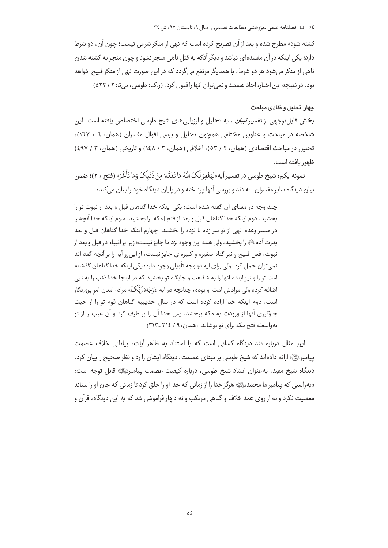کشته شود» مطرح شده و بعد از آن تصریح کرده است که نهی از منکر شرعی نیست؛ چون آن، دو شرط دارد؛ یکی اینکه در آن مفسدهای نباشد و دیگر آنکه به قتل ناهی منجر نشود و چون منجر به کشته شدن ناهی از منکر می شود هر دو شرط، با همدیگر مرتفع می گردد که در این صورت نهی از منکر قبیح خواهد بود. در نتیجه این اخبار، آحاد هستند و نمی توان آنها را قبول کرد. (ر.ک: طوسی، بی تا: ۲ / ٤٢٢)

### جهار. تحليل و نقادي مباحث

بخش قابل توجهی از تفسیر *تبیان ،* به تحلیل و ارزیابیهای شیخ طوسی اختصاص یافته است. این شاخصه در مباحث و عناوین مختلفی همچون تحلیل و برسی اقوال مفسران (همان: ٦ / ١٦٧)، تحلیل در مباحث اقتصادی (همان: ۲ / ٥٣)، اخلاقی (همان: ۳ / ١٤٨) و تاریخی (همان: ۳ / ٤٩٧) ظهور بافته است.

نمونه يكم: شيخ طوسي در تفسير آيه«لِيَغْفِرَ لَكَ اللَّهُ مَا تَقَدَّمَ مِنْ ذَنْبِكَ وَمَا تَأُخَّرَ» (فتح / ٢)؛ ضمن بیان دیدگاه سایر مفسران، به نقد و بررسی آنها پرداخته و در پایان دیدگاه خود را بیان می کند:

چند وجه در معنای آن گفته شده است: یکی اینکه خدا گناهان قبل و بعد از نبوت تو را بخشيد. دوم اينكه خدا گناهان قبل و بعد از فتح [مكه] را بخشيد. سوم اينكه خدا آنچه را در مسیر وعده الهی از تو سر زده یا نزده را بخشید. چهارم اینکه خدا گناهان قبل و بعد يدرت آدم ﷺ را بخشيد، ولي همه اين وجوه نزد ما جايز نيست؛ زيرا بر انبياء در قبل و بعد از نبوت، فعل قبيح و نيز گناه صغيره و كبيرهاي جايز نيست، از اين و آيه را بر آنچه گفتهاند نمي توان حمل كرد، ولي براي آيه دو وجه تأويلي وجود دارد؛ يكي اينكه خدا گناهان گذشته امت تو را و نیز آینده آنها را به شفاعت و جایگاه تو بخشید که در اینجا خدا ذنب را به نبی اضافه کرده ولي مرادش امت او بوده، چنانچه در آيه «وَجَاءَ رَبُّکَ» مراد، آمدن امر پروردگار است. دوم اینکه خدا اراده کرده است که در سال حدیبیه گناهان قوم تو را از حیث جلوگیری آنها از ورودت به مکه ببخشد. پس خدا آن را بر طرف کرد و آن عیب را از تو به واسطه فتح مکه برای تو پوشاند. (همان: ۹ / ٣١٤ -٣١٣)

این مثال درباره نقد دیدگاه کسانی است که با استناد به ظاهر آیات، بیاناتی خلاف عصمت ییامبرﷺ ارائه دادهاند که شیخ طوسی بر مبنای عصمت، دیدگاه ایشان را رد و نظر صحیح را بیان کرد. ديدگاه شيخ مفيد، بهعنوان استاد شيخ طوسى، درباره كيفيت عصمت پيامبرﷺ قابل توجه است: «به راستی که پیامبر ما محمدﷺ هرگز خدا را از زمانی که خدا او را خلق کرد تا زمانی که جان او را ستاند معصیت نکرد و نه از روی عمد خلاف و گناهی مرتکب و نه دچار فراموشی شد که به این دیدگاه، قرآن و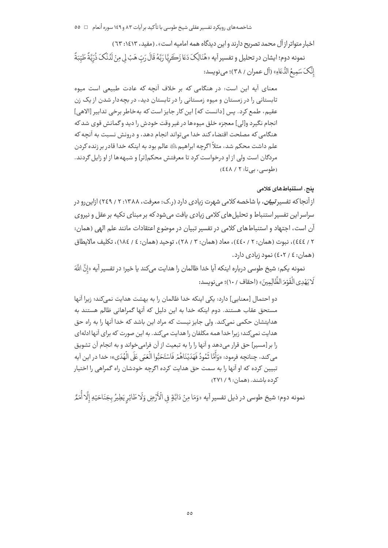اخبار متواتر از آل محمد تصریح دارند و این دیدگاه همه امامیه است» . (مفید، ۱۶۱۳): ٦٣) نمونه دوم؛ ايشان در تحليل و تفسير آيه «هُنَالِكَ دَعَا زَكَرِيَّا رَبَّهُ قَالَ رَبِّ هَبْ لِي مِنْ لَدُنْكَ ذُرِّيَّةً طَيِّبَةً إِنَّكَ سَمِيعُ النُّعَاءِ» (آل عمران / ٣٨)؛ مي نويسد:

معنای آیه این است: در هنگامی که بر خلاف آنچه که عادت طبیعی است میوه تابستانی را در زمستان و میوه زمستانی را در تابستان دید، در بچهدار شدن از یک زن عقيم، طمع كرد. پس [دانست كه] اين كار جايز است كه به خاطر برخي تدابير [الاهي] انجام نگیرد و[لی] معجزه خلق میوهها در غیر وقت خودش را دید و گمانش قوی شد که هنگامی که مصلحت اقتضاء کند خدا می تواند انجام دهد، و درونش نسبت به آنچه که علم داشت محکم شد، مثلاً اگرچه ابراهیمﷺ عالم بود به اینکه خدا قادر بر زنده کردن مردگان است ولی از او درخواست کرد تا معرفتش محکم[تر] و شبهه ها از او زایل گردند. (طوسی، بے تا: ٢ / ٤٤٨)

### بنج. استنباط *های* کلام*ی*

از آنجا که تفسیر *تبیان*، با شاخصه کلامی شهرت زیادی دارد (ر.ک: معرفت، ۱۳۸۸: ۲ / ۲٤۹) ازاین رو در سراسر این تفسیر استنباط و تحلیل های کلامی زیادی یافت میشود که بر مبنای تکیه بر عقل و نیروی آن است، اجتهاد و استنباطهای کلامی در تفسیر تبیان در موضوع اعتقادات مانند علم الهی (همان: ٢ / ٤٤٤)، نبوت (همان: ٢ / ٤٤٠)، معاد (همان: ٣ / ٢٨)، توحيد (همان: ٤ / ١٨٤)، تكليف مالايطاق (همان: ٤ / ٤٠٢) نمود زبادي دارد.

نمونه يكم: شيخ طوسي درباره اينكه آيا خدا ظالمان را هدايت ميكند يا خير؛ در تفسير آيه «إنَّ اللَّهَ لَا يَهْدِي الْقَوْمَ الظَّالِمِينَ» (احقاف / ١٠)؛ مي نويسد:

دو احتمال [معنایی] دارد: یکی اینکه خدا ظالمان را به بهشت هدایت نمی کند؛ زیرا آنها مستحق عقاب هستند. دوم اینکه خدا به این دلیل که آنها گمراهانی ظالم هستند به هدایتشان حکمی نمیکند. ولی جایز نیست که مراد این باشد که خدا آنها را به راه حق هدایت نمی کند؛ زیرا خدا همه مکلفان را هدایت می کند. به این صورت که برای آنها ادلهای را بر [مسير] حق قرار مي دهد و آنها را را به تبعيت از آن فرامي خواند و به انجام آن تشويق مي كند، چنانچه فرمود: «وَأَمَّا ثَمُودُ فَهَدَيْنَاهُمْ فَاسْتَحَبُّوا الْعَمَى عَلَى الْهُدَى»؛ خدا در اين آيه تبیین کرده که او آنها را به سمت حق هدایت کرده اگرچه خودشان راه گمراهی را اختیار کرده باشند. (همان: ۹ / ۲۷۱)

نمونه دوم؛ شيخ طوسي در ذيل تفسير آيه «وَمَا مِنْ دَابَّةٍ في الْأَرْضِ وَلَا طَائِر يَطِيرُ بِجَنَاحَيْهِ إِلَّا أُمَمُّ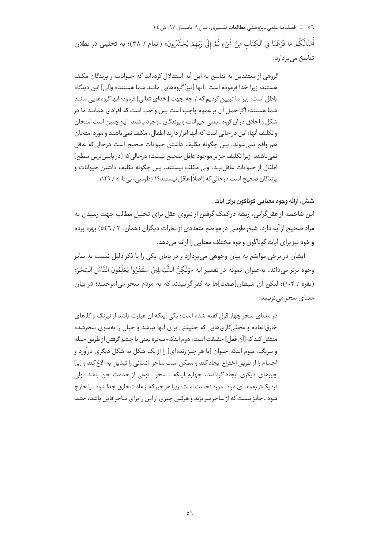o٦ = فصلنامه علمي -يژوهشي مطالعات تفسيري، سال ٩، تابستان ٩٧، ش ٣٤

أَمْثَالُكُمْ مَا فَرَّطْنَا فِى الْكِتَابِ مِنْ شَيْءٍ ثُمَّ إِلَى رَبِّهِمْ يُحْشَرُونَ» (انعام / ٣٨)؛ به تحليلى در بطلان تناسخ می پردازد:

گروهی از معتقدین به تناسخ به این آیه استدلال کردهاند که حیوانات و پرندگان مکلف هستند؛ زیرا خدا فرموده است «آنها [نیز]گروههایی مانند شما هستند» و[لی] این دیدگاه باطل است؛ زیرا ما تبیین کردیم که از چه جهت [خدای تعالی] فرمود: آنها گروههایی مانند شما هستند؛ اگر حمل آن بر عموم واجب است پس واجب است که افرادی همانند ما در شکل و اخلاق در آن گروه ـ یعنی حیوانات و پرندگان ـ وجود باشند. این چنین است امتحان و تکلیف آنها؛ این در حالی است که آنها اقرار دارند اطفال، مکلف نمی باشند و مورد امتحان هم واقع نمي شوند، پس چگونه تكليف داشتن حيوانات صحيح است درحالي كه عاقل نمی باشند؛ زیرا تکلیف جز بر موجود عاقل صحیح نیست؛ درحالی که [در پایینترین سطح] اطفال از حیوانات عاقل ترند، ولی مکلف نیستند، پس چگونه تکلیف داشتن حیوانات و یرندگان صحیح است درحالی که [اصلاً] عاقل نیستند؟! (طوسی، بی تا: ٤ / ١٢٩)

## شش. ارائه وجوه معنايي گوناگون براي آيات

این شاخصه از عقلگرایی، ریشه در کمک گرفتن از نیروی عقل برای تحلیل مطالب جهت رسیدن به مراد صحیح از آیه دارد. شیخ طوسی در مواضع متعددی از نظرات دیگران (همان: ۳ / ٥٤٦) بهره برده و خود نيز براي آيات گوناگون وجوه مختلف معنايي را ارائه مي دهد.

ایشان در برخی مواضع به بیان وجوهی می پردازد و در پایان یکی را با ذکر دلیل نسبت به سایر وجوه برتر ميداند، بهعنوان نمونه در تفسير آيه «وَلَكِنَّ الشَّيَاطِينَ كَفَرُوا يُعَلِّمُونَ النَّاسَ السِّحْرَ» (بقره / ١٠٢): ليكن آن شيطان[صفت]ها به كفر گراييدند كه به مردم سحر مي آموختند؛ در بيان معنای سحر می نویسد:

در معنای سحر چهار قول گفته شده است؛ یکی اینکه آن عبارت باشد از نیرنگ و کارهای خارقالعاده و مخفیکاری هایی که حقیقتی برای آنها نباشد و خیال را بهسوی سحرشده منتقل كند كه [آن فعل] حقيقت است، دوم اينكه«سحر» يعني با چشم گرفتن از طريق حيله و نیرنگ، سوم اینکه حیوان [یا هر چیز زنده|ی] را از یک شکل به شکل دیگری درآورد و اجسام را از طريق اختراع ايجاد كند و ممكن است ساحر، انساني را تبديل به الاغ كند و [يا] چیزهای دیگری ایجاد گردانند، چهارم اینکه ـ سحر ـ نوعی از خدمت جن باشد، ولی نزدیکتر بهمعنای مراد، مورد نخست است؛ زیرا هر چیز که از عادت خارق جدا شود ـ یا خارج شود ـ جایز نیست که از ساحر سر بزند و هرکس چیزی از این را برای ساحر قابل باشد، حتما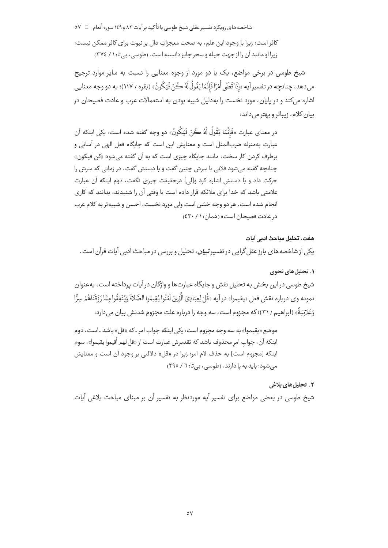شاخصههای رویکرد تفسیر عقلی شیخ طوسی با تأکید بر آیات ۸۳ و ۱٤۹ سوره أنعام ⊥ 0 ۷

.<br>كافر است؛ زيرا با وجود اين علم، به صحت معجزاتِ دال بر نبوت براي كافر ممكن نيست؛ زیرا او مانند آن را از جهت حیله و سحر جایز دانسته است. (طوسی، بی تا: ۱ / ۳۷٤)

شیخ طوسی در برخی مواضع، یک یا دو مورد از وجوه معنایی را نسبت به سایر موارد ترجیح میدهد، چنانچه در تفسیر آیه «إذَا قَضَى أَمْرًا فَإِنَّمَا يَقُولُ لَهُ كُنْ فَيَكُونُ» (بقره / ۱۱۷)؛ به دو وجه معنايي اشاره میکند و در پایان، مورد نخست را بهدلیل شبیه بودن به استعمالات عرب و عادت فصیحان در بیان کلام، زیباتر و بهتر می داند:

در معناي عبارت «فَإِنَّمَا يَقُولُ لَهُ ڪُنْ فَيَكُونُ» دو وجه گفته شده است: يکي اينکه آن عبارت بهمنزله ضربالمثل است و معنايش اين است كه جايگاه فعل الهي در آساني و برطرف کردن کار سخت، مانند جایگاه چیزی است که به آن گفته می شود «کن فیکون» چنانچه گفته می شود فلانی با سرش چنین گفت و با دستش گفت، در زمانی که سرش را حركت داد و با دستش اشاره كرد و[لي] درحقيقت چيزي نگفت، دوم اينكه آن عبارت علامتی باشد که خدا برای ملائکه قرار داده است تا وقتی آن را شنیدند، بدانند که کاری انجام شده است. هر دو وجه حَسَن است ولي مورد نخست، احسن و شبيهتر به كلام عرب در عادت فصبحان است» (همان: ١ / ٤٣٠)

### ۰۱ تحلیل های نحوی

شیخ طوسی در این بخش به تحلیل نقش و جایگاه عبارت ها و واژگان در آیات پرداخته است، بهعنوان نمونه وي درباره نقش فعل «يقيموا» در آيه «قُلْ لِعِبَادِيَ الَّذِينَ آمَنُوا يُقِيمُوا الصَّلاةَ وَيُنفِقُوا مِمَّا رَزَقْنَاهُمْ سِرًّا وَعَلانِيَةً» (ابراهيم / ٣١)؛ كه مجزوم است، سه وجه را درباره علت مجزوم شدنش بيان مىدارد:

موضع «یقیموا» به سه وجه مجزوم است: یکی اینکه جواب امر ـ که «قل» باشد ـاست، دوم اينكه آن، جواب امر محذوف باشد كه تقديرش عبارت است از «قل لهم أقيموا يقيموا»، سوم اینکه [مجزوم است] به حذف لام امر؛ زیرا در «قل» دلالتی بر وجود آن است و معنایش می شود: باید به یا دارند. (طوسی، بی تا: ٦ / ٢٩٥)

٢. تحليل هاي بلاغي شیخ طوسی در بعضی مواضع برای تفسیر آیه موردنظر به تفسیر آن بر مبنای مباحث بلاغی آیات

هفت. تحليل مباحث ادبي آبات یکی از شاخصه های بارز عقل گرایی در تفسیر *تبیان*، تحلیل و بررسی در مباحث ادبی آیات قرآن است .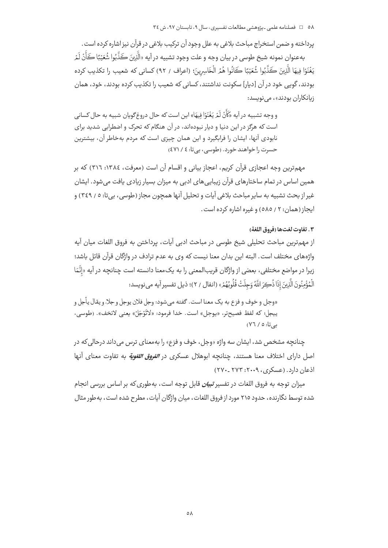پرداخته و ضمن استخراج مباحث بلاغی به علل وجود آن ترکیب بلاغی در قرآن نیز اشاره کرده است.

بهعنوان نمونه شيخ طوسي در بيان وجه و علت وجود تشبيه در آيه «الَّذِينَ كَذَّبُوا شُعَيْبًا كَأَنْ لَمْ يَغْنَوْا فِيهَا الَّذِينَ كَذَّبُوا شُعَيْبًا كَانُوا هُمُر الْخَاسِرِينَ؛ (اعراف / ٩٢) كساني كه شعيب را تكذيب كرده بودند، گویی خود در آن [دیار] سکونت نداشتند، کسانی که شعیب را تکذیب کرده بودند، خود، همان زبانکاران بودند»، مے نویسد:

و وجه تشبيه در آيه «كَأْنُ لَمْ يَغْنَوْا فِيهَا» اين است كه حال دروغ گويان شبيه به حال كساني است که هرگز در این دنیا و دیار نبودهاند، در آن هنگام که تحرک و اضطرابی شدید برای نابودی آنها، ایشان را فرابگیرد و این همان چیزی است که مردم بهخاطر آن، بیشترین حسرت را خواهند خورد. (طوسی، بیتا: ٤٧١/٤)

مهم ترین وجه اعجازی قرآن کریم، اعجاز بیانی و اقسام آن است (معرفت، ١٣٨٤: ٣١٦) که بر همین اساس در تمام ساختارهای قرآن زیبایی های ادبی به میزان بسیار زیادی یافت می شود. ایشان غير از بحث تشبيه به ساير مباحث بلاغي آيات و تحليل آنها همچون مجاز (طوسي، بي تا: ٥ / ٣٤٩) و ایجاز (همان: ٢ / ٥٨٥) و غیره اشاره کرده است.

### ٣. تفاوت لغتها (فروق اللغة)

از مهمترين مباحث تحليلي شيخ طوسي در مباحث ادبي آيات، پرداختن به فروق اللغات ميان آيه واژههای مختلف است. البته این بدان معنا نیست که وی به عدم ترادف در واژگان قرآن قائل باشد؛ زيرا در مواضع مختلفي، بعضي از واژگان قريبالمعني را به يکمعنا دانسته است چنانچه در آيه «إنَّمَا الْمُؤْمِنُونَ الَّذِينَ إِذَا ذُكِرَ اللَّهُ وَجِلَتْ قُلُوبُهُمْ» (انفال / ٢)؛ ذيل تفسير آيه مي نويسد:

«وجل و خوف و فزع به يک معنا است. گفته مے شود: وجل فلان يوجل و جلا، و يقال يأجل و ييجل؛ كه لفظ فصيحتر، «يوجل» است. خدا فرمود: «لاتَّوْجَلُ» يعني لاتخف». (طوسي، په ۱۲۷، ( ۷٦)

چنانچه مشخص شد، ایشان سه واژه «وجل، خوف و فزع» را بهمعنای ترس میداند درحالی که در اصل دارای اختلاف معنا هستند، چنانچه ابوهلال عسکری در *الفروق اللغویة* به تفاوت معنای آنها اذعان دارد. (عسکری، ۲۰۰۹: ۲۷۳ ـ۲۷۰)

میزان توجه به فروق اللغات در تفسیر *تبیان* قابل توجه است، بهطوری که بر اساس بررسی انجام شده توسط نگارنده، حدود ۲۱۵ مورد از فروق اللغات، مبان واژگان آبات، مطرح شده است، به طور مثال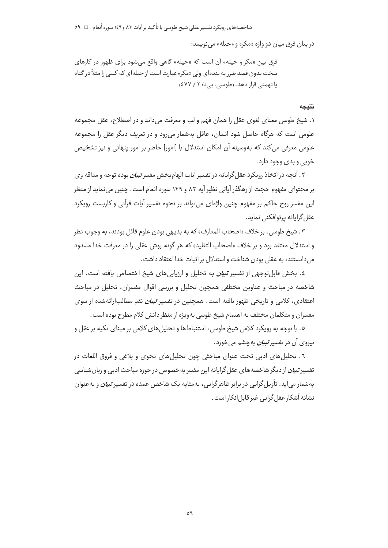در بيان فرق ميان دو واژه «مكر» و «حيله» مي نويسد:

فرق بين «مكر و حيله» آن است كه «حيله» گاهي واقع مي شود براي ظهور در كارهاي سخت بدون قصد ضرر به بندهای ولی «مکر» عبارت است از حیلهای که کسی را مثلاً در گناه یا تھمتے قرار دھد. (طوسے، بے تا: ٢ / ٤٧٧)

#### نتىحە

۱. شیخ طوسی معنای لغوی عقل را همان فهم و لب و معرفت میداند و در اصطلاح، عقل مجموعه علومی است که هرگاه حاصل شود انسان، عاقل بهشمار می٫رود و در تعریف دیگر عقل را مجموعه علومی معرفی می کند که بهوسیله آن امکان استدلال با [امور] حاضر بر امور پنهانی و نیز تشخیص خوبي و بدې وجود دارد.

۲. آنچه در اتخاذ رویکرد عقل گرایانه در تفسیر آیات الهامبخش مفسر *تبیان ب*وده توجه و مداقه وی بر محتوای مفهوم حجت از رهگذر آیاتی نظیر آیه ۸۳ و ۱۴۹ سوره انعام است. چنین می نماید از منظر این مفسر روح حاکم بر مفهوم چنین واژهای می تواند بر نحوه تفسیر آیات قرآنی و کاربست رویکرد عقل گرایانه پرتوافکنی نماید.

٣. شيخ طوسي، بر خلاف «اصحاب المعارف» كه به بديهي بودن علوم قائل بودند، به وجوب نظر و استدلال معتقد بود و بر خلاف «اصحاب التقليد» كه هر گونه روش عقلي را در معرفت خدا مسدود می دانستند، به عقلی بودن شناخت و استدلال بر اثبات خدا اعتقاد داشت .

٤. بخش قابلتوجهي از تفسير *تبيان به* تحليل و ارزيابيهاي شيخ اختصاص يافته است. اين شاخصه در مباحث و عناوین مختلفی همچون تحلیل و بررسی اقوال مفسران، تحلیل در مباحث اعتقادی، کلامی و تاریخی ظهور یافته است. همچنین در تفسیر *تبیان* نقدِ مطالبِارائهشده از سوی مفسران و متکلمان مختلف به اهتمام شیخ طوسی بهویژه از منظر دانش کلام مطرح بوده است .

٥. با توجه به رویکرد کلامی شیخ طوسی، استنباطها و تحلیلهای کلامی بر مبنای تکیه بر عقل و نیروی آن در تفسیر *تبیان ب*ه چشم می خورد.

٦. تحلیلهای ادبی تحت عنوان مباحثی چون تحلیلهای نحوی و بلاغی و فروق اللغات در تفسیر *تبیان ا*ز دیگر شاخصههای عقل گرایانه این مفسر به خصوص در حوزه مباحث ادبی و زبان شناسی بهشمار می آید. تأویل گرایی در برابر ظاهرگرایی، بهمثابه یک شاخص عمده در تفسیر *تبیان* و بهعنوان نشانه آشکار عقل گرایی غیر قابل انکار است .